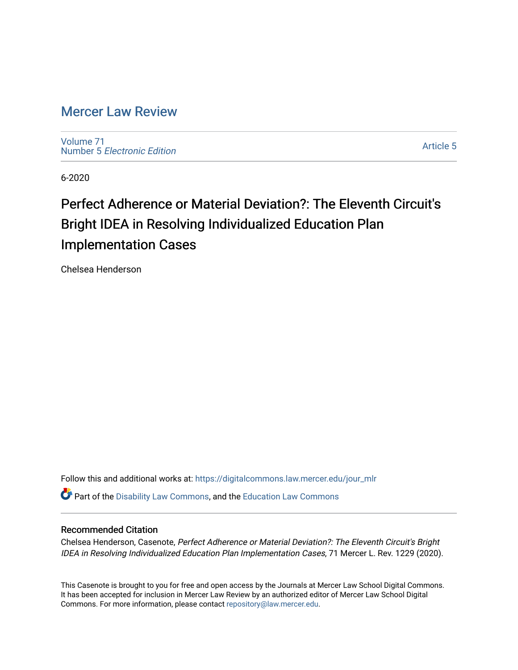## [Mercer Law Review](https://digitalcommons.law.mercer.edu/jour_mlr)

[Volume 71](https://digitalcommons.law.mercer.edu/jour_mlr/vol71) Number 5 [Electronic Edition](https://digitalcommons.law.mercer.edu/jour_mlr/vol71/iss5) 

[Article 5](https://digitalcommons.law.mercer.edu/jour_mlr/vol71/iss5/5) 

6-2020

# Perfect Adherence or Material Deviation?: The Eleventh Circuit's Bright IDEA in Resolving Individualized Education Plan Implementation Cases

Chelsea Henderson

Follow this and additional works at: [https://digitalcommons.law.mercer.edu/jour\\_mlr](https://digitalcommons.law.mercer.edu/jour_mlr?utm_source=digitalcommons.law.mercer.edu%2Fjour_mlr%2Fvol71%2Fiss5%2F5&utm_medium=PDF&utm_campaign=PDFCoverPages)

Part of the [Disability Law Commons](http://network.bepress.com/hgg/discipline/1074?utm_source=digitalcommons.law.mercer.edu%2Fjour_mlr%2Fvol71%2Fiss5%2F5&utm_medium=PDF&utm_campaign=PDFCoverPages), and the [Education Law Commons](http://network.bepress.com/hgg/discipline/596?utm_source=digitalcommons.law.mercer.edu%2Fjour_mlr%2Fvol71%2Fiss5%2F5&utm_medium=PDF&utm_campaign=PDFCoverPages) 

### Recommended Citation

Chelsea Henderson, Casenote, Perfect Adherence or Material Deviation?: The Eleventh Circuit's Bright IDEA in Resolving Individualized Education Plan Implementation Cases, 71 Mercer L. Rev. 1229 (2020).

This Casenote is brought to you for free and open access by the Journals at Mercer Law School Digital Commons. It has been accepted for inclusion in Mercer Law Review by an authorized editor of Mercer Law School Digital Commons. For more information, please contact [repository@law.mercer.edu.](mailto:repository@law.mercer.edu)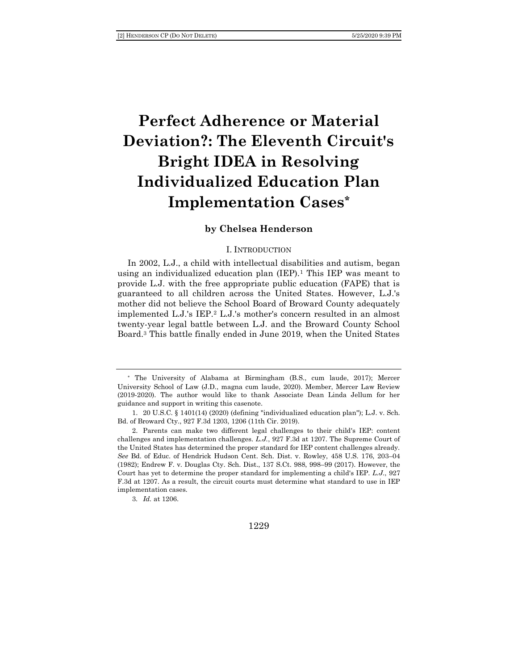# **Perfect Adherence or Material Deviation?: The Eleventh Circuit's Bright IDEA in Resolving Individualized Education Plan Implementation Cases\***

### **by Chelsea Henderson**

#### I. INTRODUCTION

In 2002, L.J., a child with intellectual disabilities and autism, began using an individualized education plan  $(IEP)$ .<sup>1</sup> This IEP was meant to provide L.J. with the free appropriate public education (FAPE) that is guaranteed to all children across the United States. However, L.J.'s mother did not believe the School Board of Broward County adequately implemented L.J.'s IEP.<sup>2</sup> L.J.'s mother's concern resulted in an almost twenty-year legal battle between L.J. and the Broward County School Board.<sup>3</sup> This battle finally ended in June 2019, when the United States

3*. Id.* at 1206.

<sup>\*</sup> The University of Alabama at Birmingham (B.S., cum laude, 2017); Mercer University School of Law (J.D., magna cum laude, 2020). Member, Mercer Law Review (2019-2020). The author would like to thank Associate Dean Linda Jellum for her guidance and support in writing this casenote.

<sup>1.</sup> 20 U.S.C. § 1401(14) (2020) (defining "individualized education plan"); L.J. v. Sch. Bd. of Broward Cty., 927 F.3d 1203, 1206 (11th Cir. 2019).

<sup>2.</sup> Parents can make two different legal challenges to their child's IEP: content challenges and implementation challenges. *L.J.*, 927 F.3d at 1207. The Supreme Court of the United States has determined the proper standard for IEP content challenges already. *See* Bd. of Educ. of Hendrick Hudson Cent. Sch. Dist. v. Rowley, 458 U.S. 176, 203–04 (1982); Endrew F. v. Douglas Cty. Sch. Dist., 137 S.Ct. 988, 998–99 (2017). However, the Court has yet to determine the proper standard for implementing a child's IEP. *L.J.*, 927 F.3d at 1207. As a result, the circuit courts must determine what standard to use in IEP implementation cases.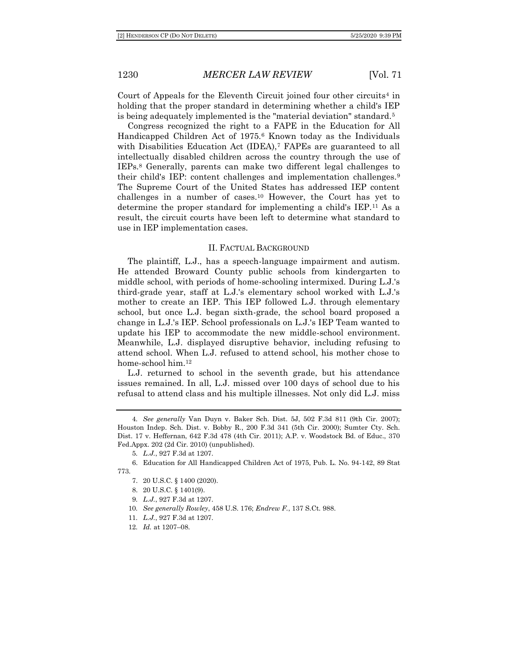Court of Appeals for the Eleventh Circuit joined four other circuits<sup>4</sup> in holding that the proper standard in determining whether a child's IEP is being adequately implemented is the "material deviation" standard.<sup>5</sup>

Congress recognized the right to a FAPE in the Education for All Handicapped Children Act of 1975.<sup>6</sup> Known today as the Individuals with Disabilities Education Act (IDEA),<sup>7</sup> FAPEs are guaranteed to all intellectually disabled children across the country through the use of IEPs.<sup>8</sup> Generally, parents can make two different legal challenges to their child's IEP: content challenges and implementation challenges.<sup>9</sup> The Supreme Court of the United States has addressed IEP content challenges in a number of cases.<sup>10</sup> However, the Court has yet to determine the proper standard for implementing a child's IEP.<sup>11</sup> As a result, the circuit courts have been left to determine what standard to use in IEP implementation cases.

#### II. FACTUAL BACKGROUND

The plaintiff, L.J., has a speech-language impairment and autism. He attended Broward County public schools from kindergarten to middle school, with periods of home-schooling intermixed. During L.J.'s third-grade year, staff at L.J.'s elementary school worked with L.J.'s mother to create an IEP. This IEP followed L.J. through elementary school, but once L.J. began sixth-grade, the school board proposed a change in L.J.'s IEP. School professionals on L.J.'s IEP Team wanted to update his IEP to accommodate the new middle-school environment. Meanwhile, L.J. displayed disruptive behavior, including refusing to attend school. When L.J. refused to attend school, his mother chose to home-school him.<sup>12</sup>

L.J. returned to school in the seventh grade, but his attendance issues remained. In all, L.J. missed over 100 days of school due to his refusal to attend class and his multiple illnesses. Not only did L.J. miss

<sup>4</sup>*. See generally* Van Duyn v. Baker Sch. Dist. 5J, 502 F.3d 811 (9th Cir. 2007); Houston Indep. Sch. Dist. v. Bobby R., 200 F.3d 341 (5th Cir. 2000); Sumter Cty. Sch. Dist. 17 v. Heffernan, 642 F.3d 478 (4th Cir. 2011); A.P. v. Woodstock Bd. of Educ., 370 Fed.Appx. 202 (2d Cir. 2010) (unpublished).

<sup>5</sup>*. L.J.*, 927 F.3d at 1207.

<sup>6.</sup> Education for All Handicapped Children Act of 1975, Pub. L. No. 94-142, 89 Stat 773.

<sup>7.</sup> 20 U.S.C. § 1400 (2020).

<sup>8.</sup> 20 U.S.C. § 1401(9).

<sup>9</sup>*. L.J.*, 927 F.3d at 1207.

<sup>10</sup>*. See generally Rowley*, 458 U.S. 176; *Endrew F.*, 137 S.Ct. 988.

<sup>11</sup>*. L.J.*, 927 F.3d at 1207.

<sup>12</sup>*. Id.* at 1207–08.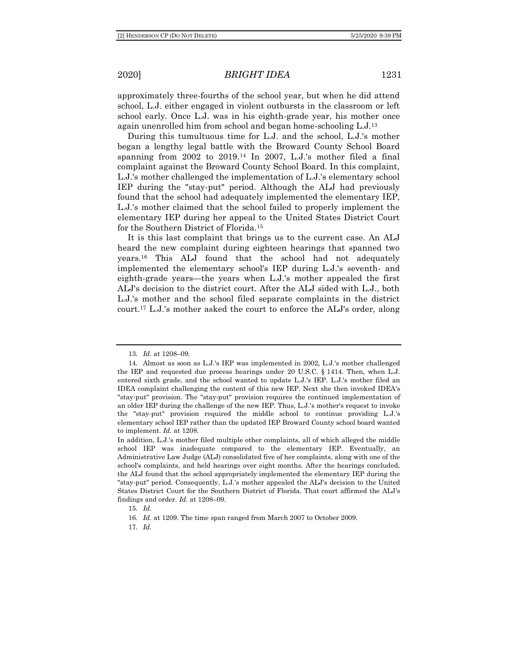approximately three-fourths of the school year, but when he did attend school, L.J. either engaged in violent outbursts in the classroom or left school early. Once L.J. was in his eighth-grade year, his mother once again unenrolled him from school and began home-schooling L.J.<sup>13</sup>

During this tumultuous time for L.J. and the school, L.J.'s mother began a lengthy legal battle with the Broward County School Board spanning from  $2002$  to  $2019<sup>14</sup>$  In  $2007$ , L.J.'s mother filed a final complaint against the Broward County School Board. In this complaint, L.J.'s mother challenged the implementation of L.J.'s elementary school IEP during the "stay-put" period. Although the ALJ had previously found that the school had adequately implemented the elementary IEP, L.J.'s mother claimed that the school failed to properly implement the elementary IEP during her appeal to the United States District Court for the Southern District of Florida.<sup>15</sup>

It is this last complaint that brings us to the current case. An ALJ heard the new complaint during eighteen hearings that spanned two years.<sup>16</sup> This ALJ found that the school had not adequately implemented the elementary school's IEP during L.J.'s seventh- and eighth-grade years—the years when L.J.'s mother appealed the first ALJ's decision to the district court. After the ALJ sided with L.J., both L.J.'s mother and the school filed separate complaints in the district court.<sup>17</sup> L.J.'s mother asked the court to enforce the ALJ's order, along

<sup>13</sup>*. Id.* at 1208–09.

<sup>14.</sup> Almost as soon as L.J.'s IEP was implemented in 2002, L.J.'s mother challenged the IEP and requested due process hearings under 20 U.S.C. § 1414. Then, when L.J. entered sixth grade, and the school wanted to update L.J.'s IEP. L.J.'s mother filed an IDEA complaint challenging the content of this new IEP. Next she then invoked IDEA's "stay-put" provision. The "stay-put" provision requires the continued implementation of an older IEP during the challenge of the new IEP. Thus, L.J.'s mother's request to invoke the "stay-put" provision required the middle school to continue providing L.J.'s elementary school IEP rather than the updated IEP Broward County school board wanted to implement. *Id.* at 1208.

In addition, L.J.'s mother filed multiple other complaints, all of which alleged the middle school IEP was inadequate compared to the elementary IEP. Eventually, an Administrative Law Judge (ALJ) consolidated five of her complaints, along with one of the school's complaints, and held hearings over eight months. After the hearings concluded, the ALJ found that the school appropriately implemented the elementary IEP during the "stay-put" period. Consequently, L.J.'s mother appealed the ALJ's decision to the United States District Court for the Southern District of Florida. That court affirmed the ALJ's findings and order. *Id.* at 1208–09.

<sup>15</sup>*. Id.*

<sup>16</sup>*. Id.* at 1209. The time span ranged from March 2007 to October 2009.

<sup>17</sup>*. Id.*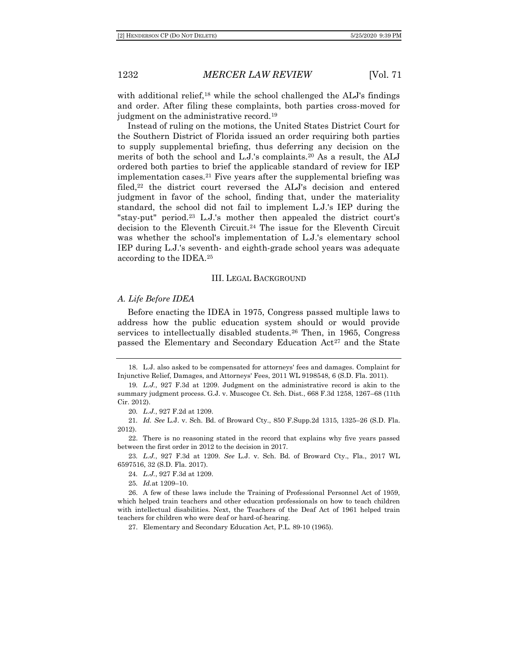with additional relief,<sup>18</sup> while the school challenged the ALJ's findings and order. After filing these complaints, both parties cross-moved for judgment on the administrative record.<sup>19</sup>

Instead of ruling on the motions, the United States District Court for the Southern District of Florida issued an order requiring both parties to supply supplemental briefing, thus deferring any decision on the merits of both the school and L.J.'s complaints.<sup>20</sup> As a result, the ALJ ordered both parties to brief the applicable standard of review for IEP implementation cases.<sup>21</sup> Five years after the supplemental briefing was filed,<sup>22</sup> the district court reversed the ALJ's decision and entered judgment in favor of the school, finding that, under the materiality standard, the school did not fail to implement L.J.'s IEP during the "stay-put" period.<sup>23</sup> L.J.'s mother then appealed the district court's decision to the Eleventh Circuit.<sup>24</sup> The issue for the Eleventh Circuit was whether the school's implementation of L.J.'s elementary school IEP during L.J.'s seventh- and eighth-grade school years was adequate according to the IDEA.<sup>25</sup>

#### III. LEGAL BACKGROUND

#### *A. Life Before IDEA*

Before enacting the IDEA in 1975, Congress passed multiple laws to address how the public education system should or would provide services to intellectually disabled students.<sup>26</sup> Then, in 1965, Congress passed the Elementary and Secondary Education Act<sup>27</sup> and the State

<sup>18.</sup> L.J. also asked to be compensated for attorneys' fees and damages. Complaint for Injunctive Relief, Damages, and Attorneys' Fees, 2011 WL 9198548, 6 (S.D. Fla. 2011).

<sup>19</sup>*. L.J.*, 927 F.3d at 1209. Judgment on the administrative record is akin to the summary judgment process. G.J. v. Muscogee Ct. Sch. Dist., 668 F.3d 1258, 1267–68 (11th Cir. 2012).

<sup>20</sup>*. L.J.*, 927 F.2d at 1209.

<sup>21</sup>*. Id. See* L.J. v. Sch. Bd. of Broward Cty., 850 F.Supp.2d 1315, 1325–26 (S.D. Fla. 2012).

<sup>22.</sup> There is no reasoning stated in the record that explains why five years passed between the first order in 2012 to the decision in 2017.

<sup>23</sup>*. L.J.*, 927 F.3d at 1209. *See* L.J. v. Sch. Bd. of Broward Cty., Fla., 2017 WL 6597516, 32 (S.D. Fla. 2017).

<sup>24</sup>*. L.J.*, 927 F.3d at 1209.

<sup>25</sup>*. Id.*at 1209–10.

<sup>26.</sup> A few of these laws include the Training of Professional Personnel Act of 1959, which helped train teachers and other education professionals on how to teach children with intellectual disabilities. Next, the Teachers of the Deaf Act of 1961 helped train teachers for children who were deaf or hard-of-hearing.

<sup>27.</sup> Elementary and Secondary Education Act, P.L. 89-10 (1965).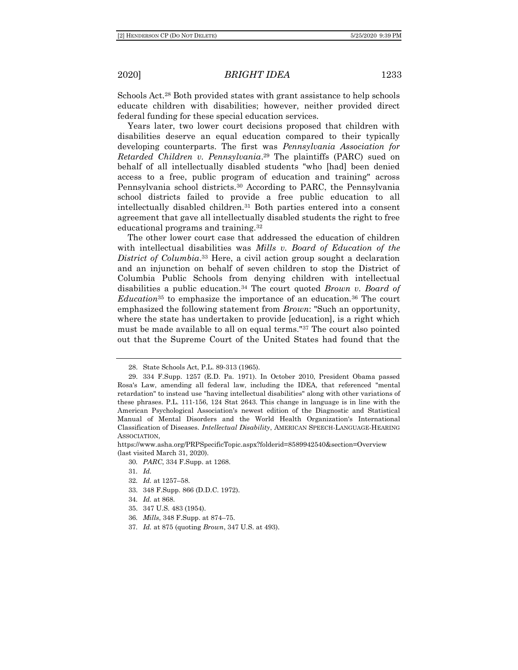Schools Act.<sup>28</sup> Both provided states with grant assistance to help schools educate children with disabilities; however, neither provided direct federal funding for these special education services.

Years later, two lower court decisions proposed that children with disabilities deserve an equal education compared to their typically developing counterparts. The first was *Pennsylvania Association for Retarded Children v. Pennsylvania*. <sup>29</sup> The plaintiffs (PARC) sued on behalf of all intellectually disabled students "who [had] been denied access to a free, public program of education and training" across Pennsylvania school districts.<sup>30</sup> According to PARC, the Pennsylvania school districts failed to provide a free public education to all intellectually disabled children.<sup>31</sup> Both parties entered into a consent agreement that gave all intellectually disabled students the right to free educational programs and training.<sup>32</sup>

The other lower court case that addressed the education of children with intellectual disabilities was *Mills v. Board of Education of the District of Columbia*. <sup>33</sup> Here, a civil action group sought a declaration and an injunction on behalf of seven children to stop the District of Columbia Public Schools from denying children with intellectual disabilities a public education.<sup>34</sup> The court quoted *Brown v. Board of Education*<sup>35</sup> to emphasize the importance of an education.<sup>36</sup> The court emphasized the following statement from *Brown*: "Such an opportunity, where the state has undertaken to provide [education], is a right which must be made available to all on equal terms."<sup>37</sup> The court also pointed out that the Supreme Court of the United States had found that the

33. 348 F.Supp. 866 (D.D.C. 1972).

- 35. 347 U.S. 483 (1954).
- 36*. Mills*, 348 F.Supp. at 874–75.
- 37*. Id.* at 875 (quoting *Brown*, 347 U.S. at 493).

<sup>28.</sup> State Schools Act, P.L. 89-313 (1965).

<sup>29.</sup> 334 F.Supp. 1257 (E.D. Pa. 1971). In October 2010, President Obama passed Rosa's Law, amending all federal law, including the IDEA, that referenced "mental retardation" to instead use "having intellectual disabilities" along with other variations of these phrases. P.L. 111-156, 124 Stat 2643. This change in language is in line with the American Psychological Association's newest edition of the Diagnostic and Statistical Manual of Mental Disorders and the World Health Organization's International Classification of Diseases. *Intellectual Disability*, AMERICAN SPEECH-LANGUAGE-HEARING ASSOCIATION,

https://www.asha.org/PRPSpecificTopic.aspx?folderid=8589942540&section=Overview (last visited March 31, 2020).

<sup>30</sup>*. PARC*, 334 F.Supp. at 1268.

<sup>31</sup>*. Id.*

<sup>32</sup>*. Id.* at 1257–58.

<sup>34</sup>*. Id.* at 868.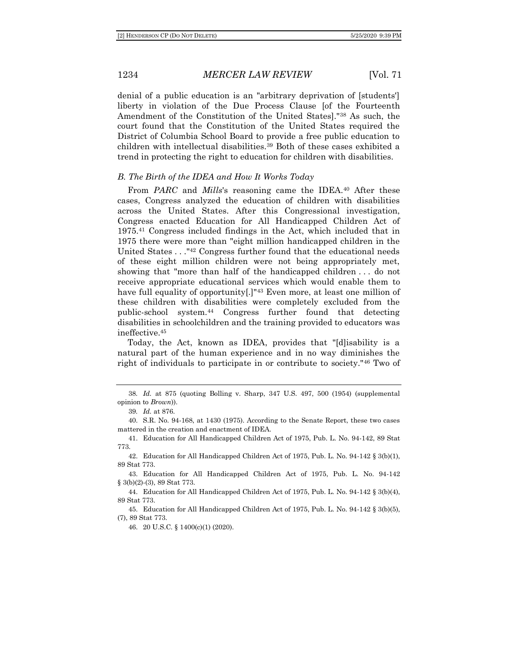denial of a public education is an "arbitrary deprivation of [students'] liberty in violation of the Due Process Clause [of the Fourteenth Amendment of the Constitution of the United States]."<sup>38</sup> As such, the court found that the Constitution of the United States required the District of Columbia School Board to provide a free public education to children with intellectual disabilities.<sup>39</sup> Both of these cases exhibited a trend in protecting the right to education for children with disabilities.

#### *B. The Birth of the IDEA and How It Works Today*

From *PARC* and *Mills*'s reasoning came the IDEA.<sup>40</sup> After these cases, Congress analyzed the education of children with disabilities across the United States. After this Congressional investigation, Congress enacted Education for All Handicapped Children Act of 1975.<sup>41</sup> Congress included findings in the Act, which included that in 1975 there were more than "eight million handicapped children in the United States . . ."<sup>42</sup> Congress further found that the educational needs of these eight million children were not being appropriately met, showing that "more than half of the handicapped children . . . do not receive appropriate educational services which would enable them to have full equality of opportunity[.]"<sup>43</sup> Even more, at least one million of these children with disabilities were completely excluded from the public-school system.<sup>44</sup> Congress further found that detecting disabilities in schoolchildren and the training provided to educators was ineffective.<sup>45</sup>

Today, the Act, known as IDEA, provides that "[d]isability is a natural part of the human experience and in no way diminishes the right of individuals to participate in or contribute to society."<sup>46</sup> Two of

46. 20 U.S.C. § 1400(c)(1) (2020).

<sup>38</sup>*. Id.* at 875 (quoting Bolling v. Sharp, 347 U.S. 497, 500 (1954) (supplemental opinion to *Brown*)).

<sup>39</sup>*. Id.* at 876.

<sup>40.</sup> S.R. No. 94-168, at 1430 (1975). According to the Senate Report, these two cases mattered in the creation and enactment of IDEA.

<sup>41.</sup> Education for All Handicapped Children Act of 1975, Pub. L. No. 94-142, 89 Stat 773.

<sup>42.</sup> Education for All Handicapped Children Act of 1975, Pub. L. No. 94-142 § 3(b)(1), 89 Stat 773.

<sup>43.</sup> Education for All Handicapped Children Act of 1975, Pub. L. No. 94-142 § 3(b)(2)-(3), 89 Stat 773.

<sup>44.</sup> Education for All Handicapped Children Act of 1975, Pub. L. No. 94-142 § 3(b)(4), 89 Stat 773.

<sup>45.</sup> Education for All Handicapped Children Act of 1975, Pub. L. No. 94-142 § 3(b)(5), (7), 89 Stat 773.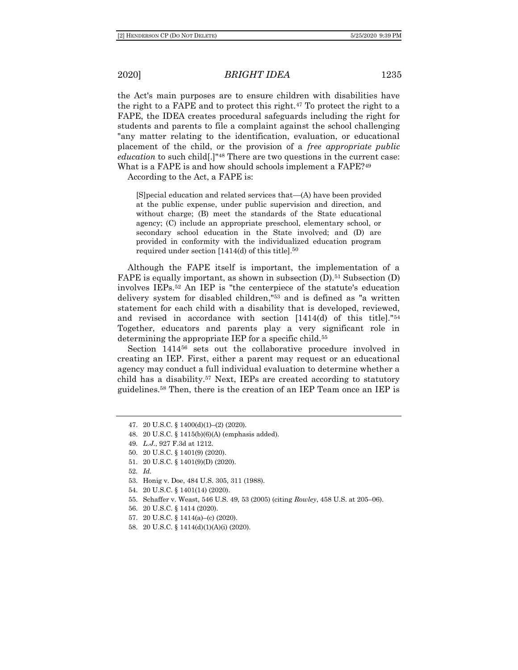the Act's main purposes are to ensure children with disabilities have the right to a FAPE and to protect this right.<sup>47</sup> To protect the right to a FAPE, the IDEA creates procedural safeguards including the right for students and parents to file a complaint against the school challenging "any matter relating to the identification, evaluation, or educational placement of the child, or the provision of a *free appropriate public education* to such child[.]"<sup>48</sup> There are two questions in the current case: What is a FAPE is and how should schools implement a FAPE?<sup>49</sup>

According to the Act, a FAPE is:

[S]pecial education and related services that—(A) have been provided at the public expense, under public supervision and direction, and without charge; (B) meet the standards of the State educational agency; (C) include an appropriate preschool, elementary school, or secondary school education in the State involved; and (D) are provided in conformity with the individualized education program required under section  $[1414(d)$  of this title].<sup>50</sup>

Although the FAPE itself is important, the implementation of a FAPE is equally important, as shown in subsection  $(D)$ .<sup>51</sup> Subsection  $(D)$ involves IEPs.<sup>52</sup> An IEP is "the centerpiece of the statute's education delivery system for disabled children,"<sup>53</sup> and is defined as "a written statement for each child with a disability that is developed, reviewed, and revised in accordance with section [1414(d) of this title]."<sup>54</sup> Together, educators and parents play a very significant role in determining the appropriate IEP for a specific child.<sup>55</sup>

Section 1414<sup>56</sup> sets out the collaborative procedure involved in creating an IEP. First, either a parent may request or an educational agency may conduct a full individual evaluation to determine whether a child has a disability.<sup>57</sup> Next, IEPs are created according to statutory guidelines.<sup>58</sup> Then, there is the creation of an IEP Team once an IEP is

51. 20 U.S.C. § 1401(9)(D) (2020).

53. Honig v. Doe, 484 U.S. 305, 311 (1988).

- 56. 20 U.S.C. § 1414 (2020).
- 57. 20 U.S.C. § 1414(a)–(c) (2020).
- 58. 20 U.S.C. § 1414(d)(1)(A)(i) (2020).

<sup>47.</sup> 20 U.S.C. § 1400(d)(1)–(2) (2020).

<sup>48.</sup> 20 U.S.C. § 1415(b)(6)(A) (emphasis added).

<sup>49</sup>*. L.J.*, 927 F.3d at 1212.

<sup>50.</sup> 20 U.S.C. § 1401(9) (2020).

<sup>52</sup>*. Id.*

<sup>54.</sup> 20 U.S.C. § 1401(14) (2020).

<sup>55.</sup> Schaffer v. Weast, 546 U.S. 49, 53 (2005) (citing *Rowley*, 458 U.S. at 205–06).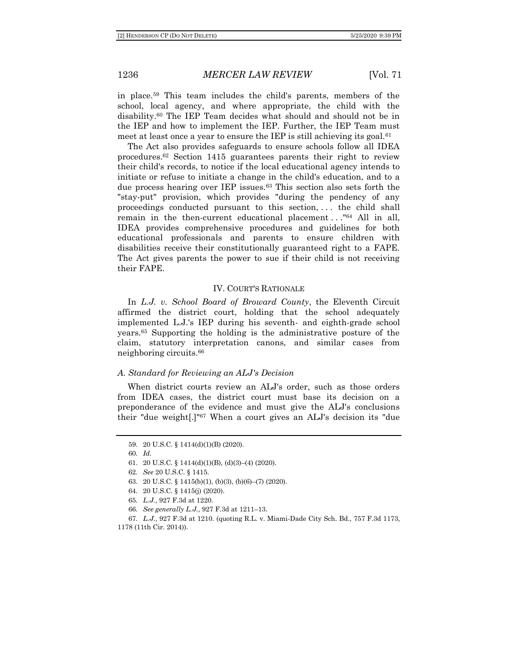in place.<sup>59</sup> This team includes the child's parents, members of the school, local agency, and where appropriate, the child with the disability.<sup>60</sup> The IEP Team decides what should and should not be in the IEP and how to implement the IEP. Further, the IEP Team must meet at least once a year to ensure the IEP is still achieving its goal.<sup>61</sup>

The Act also provides safeguards to ensure schools follow all IDEA procedures.<sup>62</sup> Section 1415 guarantees parents their right to review their child's records, to notice if the local educational agency intends to initiate or refuse to initiate a change in the child's education, and to a due process hearing over IEP issues.<sup>63</sup> This section also sets forth the "stay-put" provision, which provides "during the pendency of any proceedings conducted pursuant to this section, . . . the child shall remain in the then-current educational placement  $\dots$ <sup>"64</sup> All in all, IDEA provides comprehensive procedures and guidelines for both educational professionals and parents to ensure children with disabilities receive their constitutionally guaranteed right to a FAPE. The Act gives parents the power to sue if their child is not receiving their FAPE.

#### IV. COURT'S RATIONALE

In *L.J. v. School Board of Broward County*, the Eleventh Circuit affirmed the district court, holding that the school adequately implemented L.J.'s IEP during his seventh- and eighth-grade school years.<sup>65</sup> Supporting the holding is the administrative posture of the claim, statutory interpretation canons, and similar cases from neighboring circuits.<sup>66</sup>

#### *A. Standard for Reviewing an ALJ's Decision*

When district courts review an ALJ's order, such as those orders from IDEA cases, the district court must base its decision on a preponderance of the evidence and must give the ALJ's conclusions their "due weight[.]"<sup>67</sup> When a court gives an ALJ's decision its "due

<sup>59.</sup> 20 U.S.C. § 1414(d)(1)(B) (2020).

<sup>60</sup>*. Id.*

<sup>61.</sup> 20 U.S.C. § 1414(d)(1)(B), (d)(3)–(4) (2020).

<sup>62</sup>*. See* 20 U.S.C. § 1415.

<sup>63.</sup> 20 U.S.C. § 1415(b)(1), (b)(3), (b)(6)–(7) (2020).

<sup>64.</sup> 20 U.S.C. § 1415(j) (2020).

<sup>65</sup>*. L.J.*, 927 F.3d at 1220.

<sup>66</sup>*. See generally L.J.*, 927 F.3d at 1211–13.

<sup>67</sup>*. L.J.*, 927 F.3d at 1210. (quoting R.L. v. Miami-Dade City Sch. Bd., 757 F.3d 1173,

<sup>1178 (11</sup>th Cir. 2014)).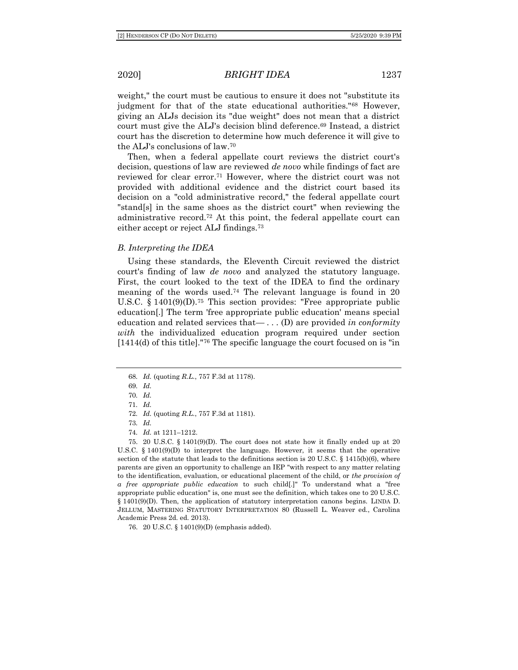weight," the court must be cautious to ensure it does not "substitute its judgment for that of the state educational authorities."<sup>68</sup> However, giving an ALJs decision its "due weight" does not mean that a district court must give the ALJ's decision blind deference.<sup>69</sup> Instead, a district court has the discretion to determine how much deference it will give to the ALJ's conclusions of law. 70

Then, when a federal appellate court reviews the district court's decision, questions of law are reviewed *de novo* while findings of fact are reviewed for clear error.<sup>71</sup> However, where the district court was not provided with additional evidence and the district court based its decision on a "cold administrative record," the federal appellate court "stand[s] in the same shoes as the district court" when reviewing the administrative record.<sup>72</sup> At this point, the federal appellate court can either accept or reject ALJ findings.<sup>73</sup>

#### *B. Interpreting the IDEA*

Using these standards, the Eleventh Circuit reviewed the district court's finding of law *de novo* and analyzed the statutory language. First, the court looked to the text of the IDEA to find the ordinary meaning of the words used.<sup>74</sup> The relevant language is found in 20 U.S.C. § 1401(9)(D).<sup>75</sup> This section provides: "Free appropriate public education[.] The term 'free appropriate public education' means special education and related services that— . . . (D) are provided *in conformity with* the individualized education program required under section [1414(d) of this title]."<sup>76</sup> The specific language the court focused on is "in

72*. Id.* (quoting *R.L.*, 757 F.3d at 1181).

74*. Id.* at 1211–1212.

75. 20 U.S.C. § 1401(9)(D). The court does not state how it finally ended up at 20 U.S.C. § 1401(9)(D) to interpret the language. However, it seems that the operative section of the statute that leads to the definitions section is 20 U.S.C.  $\S$  1415(b)(6), where parents are given an opportunity to challenge an IEP "with respect to any matter relating to the identification, evaluation, or educational placement of the child, or *the provision of a free appropriate public education* to such child[.]" To understand what a "free appropriate public education" is, one must see the definition, which takes one to 20 U.S.C. § 1401(9)(D). Then, the application of statutory interpretation canons begins. LINDA D. JELLUM, MASTERING STATUTORY INTERPRETATION 80 (Russell L. Weaver ed., Carolina Academic Press 2d. ed. 2013).

76. 20 U.S.C. § 1401(9)(D) (emphasis added).

<sup>68</sup>*. Id.* (quoting *R.L.*, 757 F.3d at 1178).

<sup>69</sup>*. Id.*

<sup>70</sup>*. Id.*

<sup>71</sup>*. Id.*

<sup>73</sup>*. Id.*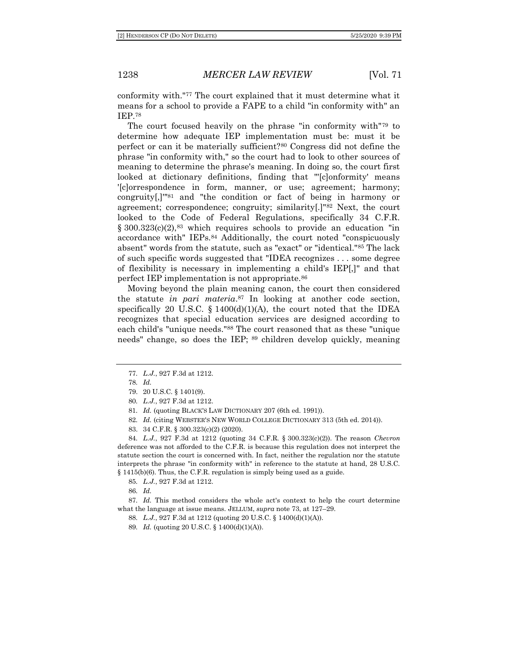conformity with."<sup>77</sup> The court explained that it must determine what it means for a school to provide a FAPE to a child "in conformity with" an IEP.<sup>78</sup>

The court focused heavily on the phrase "in conformity with"<sup>79</sup> to determine how adequate IEP implementation must be: must it be perfect or can it be materially sufficient?<sup>80</sup> Congress did not define the phrase "in conformity with," so the court had to look to other sources of meaning to determine the phrase's meaning. In doing so, the court first looked at dictionary definitions, finding that "'[c]onformity' means '[c]orrespondence in form, manner, or use; agreement; harmony; congruity[,]'"<sup>81</sup> and "the condition or fact of being in harmony or agreement; correspondence; congruity; similarity[.]"<sup>82</sup> Next, the court looked to the Code of Federal Regulations, specifically 34 C.F.R.  $\S 300.323(c)(2)$ ,  $83$  which requires schools to provide an education "in accordance with" IEPs.<sup>84</sup> Additionally, the court noted "conspicuously absent" words from the statute, such as "exact" or "identical."<sup>85</sup> The lack of such specific words suggested that "IDEA recognizes . . . some degree of flexibility is necessary in implementing a child's IEP[,]" and that perfect IEP implementation is not appropriate.<sup>86</sup>

Moving beyond the plain meaning canon, the court then considered the statute *in pari materia*. <sup>87</sup> In looking at another code section, specifically 20 U.S.C.  $\{1400(d)(1)(A)\}$ , the court noted that the IDEA recognizes that special education services are designed according to each child's "unique needs."<sup>88</sup> The court reasoned that as these "unique needs" change, so does the IEP; <sup>89</sup> children develop quickly, meaning

81*. Id.* (quoting BLACK'S LAW DICTIONARY 207 (6th ed. 1991)).

82*. Id.* (citing WEBSTER'S NEW WORLD COLLEGE DICTIONARY 313 (5th ed. 2014)).

83. 34 C.F.R. § 300.323(c)(2) (2020).

84*. L.J.*, 927 F.3d at 1212 (quoting 34 C.F.R. § 300.323(c)(2)). The reason *Chevron* deference was not afforded to the C.F.R. is because this regulation does not interpret the statute section the court is concerned with. In fact, neither the regulation nor the statute interprets the phrase "in conformity with" in reference to the statute at hand, 28 U.S.C. § 1415(b)(6). Thus, the C.F.R. regulation is simply being used as a guide.

85*. L.J.*, 927 F.3d at 1212.

86*. Id.*

87*. Id.* This method considers the whole act's context to help the court determine what the language at issue means. JELLUM, *supra* note 73, at 127–29.

88*. L.J.*, 927 F.3d at 1212 (quoting 20 U.S.C. § 1400(d)(1)(A)).

89*. Id.* (quoting 20 U.S.C. § 1400(d)(1)(A)).

<sup>77</sup>*. L.J.*, 927 F.3d at 1212.

<sup>78</sup>*. Id.*

<sup>79.</sup> 20 U.S.C. § 1401(9).

<sup>80</sup>*. L.J.*, 927 F.3d at 1212.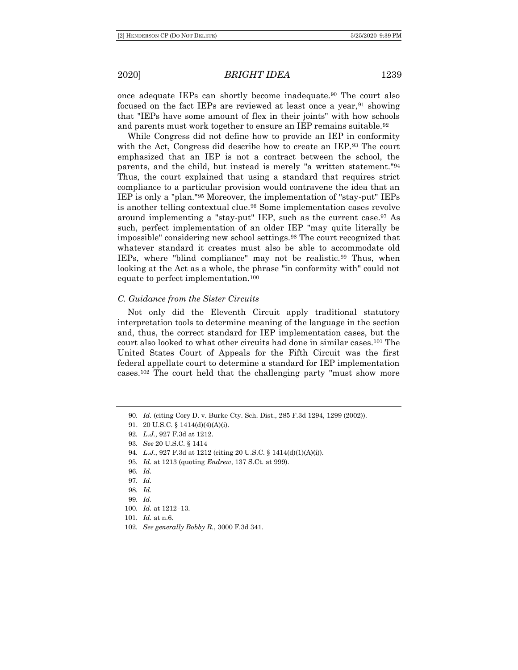once adequate IEPs can shortly become inadequate.<sup>90</sup> The court also focused on the fact IEPs are reviewed at least once a year, <sup>91</sup> showing that "IEPs have some amount of flex in their joints" with how schools and parents must work together to ensure an IEP remains suitable.<sup>92</sup>

While Congress did not define how to provide an IEP in conformity with the Act, Congress did describe how to create an IEP.<sup>93</sup> The court emphasized that an IEP is not a contract between the school, the parents, and the child, but instead is merely "a written statement."<sup>94</sup> Thus, the court explained that using a standard that requires strict compliance to a particular provision would contravene the idea that an IEP is only a "plan."<sup>95</sup> Moreover, the implementation of "stay-put" IEPs is another telling contextual clue.<sup>96</sup> Some implementation cases revolve around implementing a "stay-put" IEP, such as the current case.<sup>97</sup> As such, perfect implementation of an older IEP "may quite literally be impossible" considering new school settings.<sup>98</sup> The court recognized that whatever standard it creates must also be able to accommodate old IEPs, where "blind compliance" may not be realistic.<sup>99</sup> Thus, when looking at the Act as a whole, the phrase "in conformity with" could not equate to perfect implementation.<sup>100</sup>

#### *C. Guidance from the Sister Circuits*

Not only did the Eleventh Circuit apply traditional statutory interpretation tools to determine meaning of the language in the section and, thus, the correct standard for IEP implementation cases, but the court also looked to what other circuits had done in similar cases.<sup>101</sup> The United States Court of Appeals for the Fifth Circuit was the first federal appellate court to determine a standard for IEP implementation cases.<sup>102</sup> The court held that the challenging party "must show more

- 94*. L.J.*, 927 F.3d at 1212 (citing 20 U.S.C. § 1414(d)(1)(A)(i)).
- 95*. Id.* at 1213 (quoting *Endrew*, 137 S.Ct. at 999).
- 96*. Id.*
- 97*. Id.*

<sup>90</sup>*. Id.* (citing Cory D. v. Burke Cty. Sch. Dist., 285 F.3d 1294, 1299 (2002)).

<sup>91.</sup> 20 U.S.C. § 1414(d)(4)(A)(i).

<sup>92</sup>*. L.J.*, 927 F.3d at 1212.

<sup>93</sup>*. See* 20 U.S.C. § 1414

<sup>98</sup>*. Id.*

<sup>99</sup>*. Id.*

<sup>100</sup>*. Id.* at 1212–13.

<sup>101</sup>*. Id.* at n.6.

<sup>102</sup>*. See generally Bobby R.*, 3000 F.3d 341.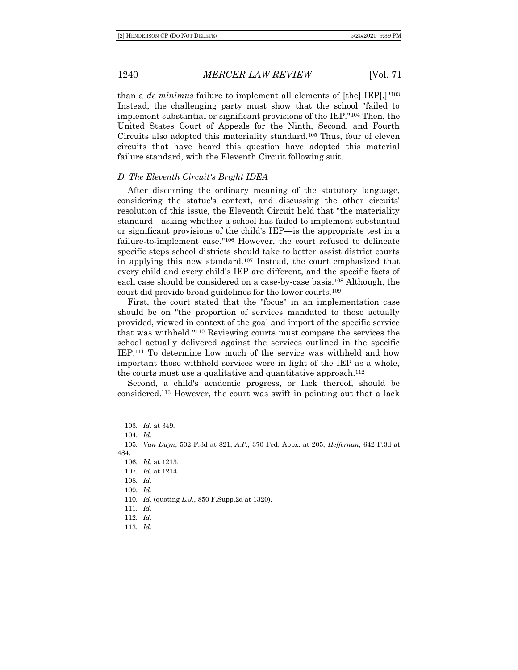than a *de minimus* failure to implement all elements of [the] IEP[.]"<sup>103</sup> Instead, the challenging party must show that the school "failed to implement substantial or significant provisions of the IEP."<sup>104</sup> Then, the United States Court of Appeals for the Ninth, Second, and Fourth Circuits also adopted this materiality standard.<sup>105</sup> Thus, four of eleven circuits that have heard this question have adopted this material failure standard, with the Eleventh Circuit following suit.

#### *D. The Eleventh Circuit's Bright IDEA*

After discerning the ordinary meaning of the statutory language, considering the statue's context, and discussing the other circuits' resolution of this issue, the Eleventh Circuit held that "the materiality standard—asking whether a school has failed to implement substantial or significant provisions of the child's IEP—is the appropriate test in a failure-to-implement case."<sup>106</sup> However, the court refused to delineate specific steps school districts should take to better assist district courts in applying this new standard.<sup>107</sup> Instead, the court emphasized that every child and every child's IEP are different, and the specific facts of each case should be considered on a case-by-case basis.<sup>108</sup> Although, the court did provide broad guidelines for the lower courts.<sup>109</sup>

First, the court stated that the "focus" in an implementation case should be on "the proportion of services mandated to those actually provided, viewed in context of the goal and import of the specific service that was withheld."<sup>110</sup> Reviewing courts must compare the services the school actually delivered against the services outlined in the specific IEP.<sup>111</sup> To determine how much of the service was withheld and how important those withheld services were in light of the IEP as a whole, the courts must use a qualitative and quantitative approach.<sup>112</sup>

Second, a child's academic progress, or lack thereof, should be considered.<sup>113</sup> However, the court was swift in pointing out that a lack

103*. Id.* at 349. 104*. Id.* 105*. Van Duyn*, 502 F.3d at 821; *A.P.*, 370 Fed. Appx. at 205; *Heffernan*, 642 F.3d at 484. 106*. Id.* at 1213. 107*. Id.* at 1214. 108*. Id.* 109*. Id.* 110*. Id.* (quoting *L.J.*, 850 F.Supp.2d at 1320). 111*. Id.* 112*. Id.* 113*. Id.*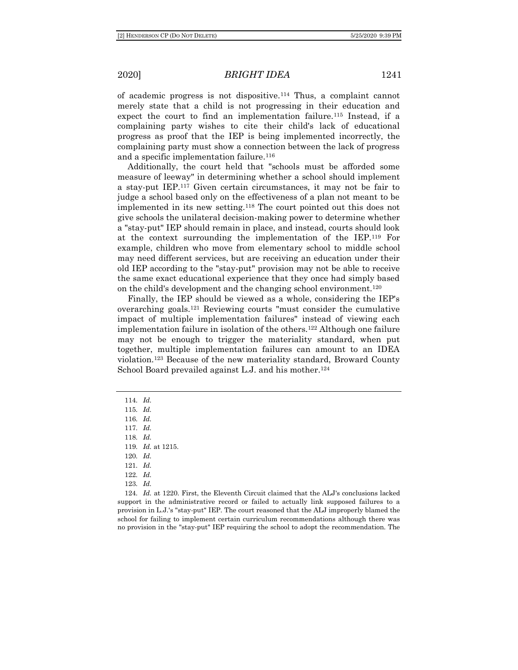of academic progress is not dispositive.<sup>114</sup> Thus, a complaint cannot merely state that a child is not progressing in their education and expect the court to find an implementation failure.<sup>115</sup> Instead, if a complaining party wishes to cite their child's lack of educational progress as proof that the IEP is being implemented incorrectly, the complaining party must show a connection between the lack of progress and a specific implementation failure.<sup>116</sup>

Additionally, the court held that "schools must be afforded some measure of leeway" in determining whether a school should implement a stay-put IEP.<sup>117</sup> Given certain circumstances, it may not be fair to judge a school based only on the effectiveness of a plan not meant to be implemented in its new setting.<sup>118</sup> The court pointed out this does not give schools the unilateral decision-making power to determine whether a "stay-put" IEP should remain in place, and instead, courts should look at the context surrounding the implementation of the IEP.<sup>119</sup> For example, children who move from elementary school to middle school may need different services, but are receiving an education under their old IEP according to the "stay-put" provision may not be able to receive the same exact educational experience that they once had simply based on the child's development and the changing school environment.<sup>120</sup>

Finally, the IEP should be viewed as a whole, considering the IEP's overarching goals.<sup>121</sup> Reviewing courts "must consider the cumulative impact of multiple implementation failures" instead of viewing each implementation failure in isolation of the others.<sup>122</sup> Although one failure may not be enough to trigger the materiality standard, when put together, multiple implementation failures can amount to an IDEA violation.<sup>123</sup> Because of the new materiality standard, Broward County School Board prevailed against L.J. and his mother.<sup>124</sup>

114*. Id.* 115*. Id.* 116*. Id.* 117*. Id.* 118*. Id.* 119*. Id.* at 1215. 120*. Id.* 121*. Id.* 122*. Id.* 123*. Id.*

124*. Id.* at 1220. First, the Eleventh Circuit claimed that the ALJ's conclusions lacked support in the administrative record or failed to actually link supposed failures to a provision in L.J.'s "stay-put" IEP. The court reasoned that the ALJ improperly blamed the school for failing to implement certain curriculum recommendations although there was no provision in the "stay-put" IEP requiring the school to adopt the recommendation. The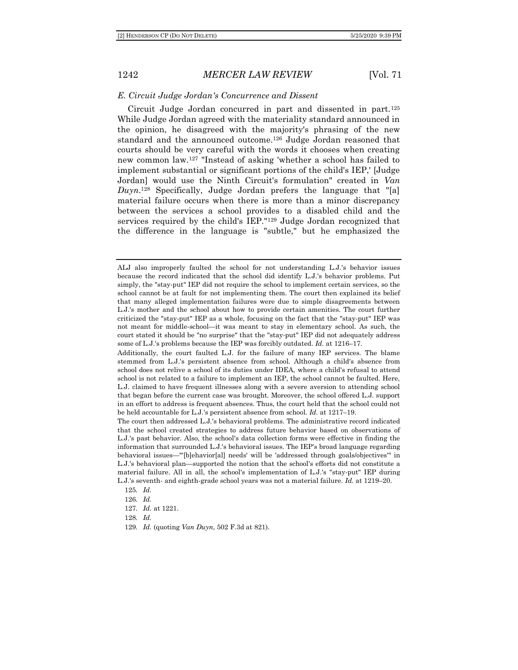#### *E. Circuit Judge Jordan's Concurrence and Dissent*

Circuit Judge Jordan concurred in part and dissented in part.<sup>125</sup> While Judge Jordan agreed with the materiality standard announced in the opinion, he disagreed with the majority's phrasing of the new standard and the announced outcome.<sup>126</sup> Judge Jordan reasoned that courts should be very careful with the words it chooses when creating new common law.<sup>127</sup> "Instead of asking 'whether a school has failed to implement substantial or significant portions of the child's IEP,' [Judge Jordan] would use the Ninth Circuit's formulation" created in *Van Duyn*. <sup>128</sup> Specifically, Judge Jordan prefers the language that "[a] material failure occurs when there is more than a minor discrepancy between the services a school provides to a disabled child and the services required by the child's IEP."<sup>129</sup> Judge Jordan recognized that the difference in the language is "subtle," but he emphasized the

ALJ also improperly faulted the school for not understanding L.J.'s behavior issues because the record indicated that the school did identify L.J.'s behavior problems. Put simply, the "stay-put" IEP did not require the school to implement certain services, so the school cannot be at fault for not implementing them. The court then explained its belief that many alleged implementation failures were due to simple disagreements between L.J.'s mother and the school about how to provide certain amenities. The court further criticized the "stay-put" IEP as a whole, focusing on the fact that the "stay-put" IEP was not meant for middle-school—it was meant to stay in elementary school. As such, the court stated it should be "no surprise" that the "stay-put" IEP did not adequately address some of L.J.'s problems because the IEP was forcibly outdated. *Id.* at 1216–17.

Additionally, the court faulted L.J. for the failure of many IEP services. The blame stemmed from L.J.'s persistent absence from school. Although a child's absence from school does not relive a school of its duties under IDEA, where a child's refusal to attend school is not related to a failure to implement an IEP, the school cannot be faulted. Here, L.J. claimed to have frequent illnesses along with a severe aversion to attending school that began before the current case was brought. Moreover, the school offered L.J. support in an effort to address is frequent absences. Thus, the court held that the school could not be held accountable for L.J.'s persistent absence from school. *Id.* at 1217–19.

The court then addressed L.J.'s behavioral problems. The administrative record indicated that the school created strategies to address future behavior based on observations of L.J.'s past behavior. Also, the school's data collection forms were effective in finding the information that surrounded L.J.'s behavioral issues. The IEP's broad language regarding behavioral issues—"'[b]ehavior[al] needs' will be 'addressed through goals/objectives'" in L.J.'s behavioral plan—supported the notion that the school's efforts did not constitute a material failure. All in all, the school's implementation of L.J.'s "stay-put" IEP during L.J.'s seventh- and eighth-grade school years was not a material failure. *Id.* at 1219–20.

<sup>125</sup>*. Id.*

<sup>126</sup>*. Id.*

<sup>127</sup>*. Id.* at 1221.

<sup>128</sup>*. Id.*

<sup>129</sup>*. Id.* (quoting *Van Duyn*, 502 F.3d at 821).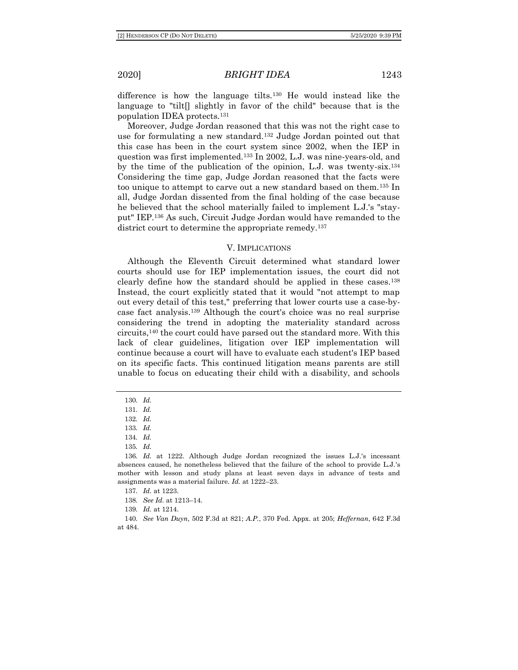difference is how the language tilts.<sup>130</sup> He would instead like the language to "tilt<sup>[]</sup> slightly in favor of the child" because that is the population IDEA protects.<sup>131</sup>

Moreover, Judge Jordan reasoned that this was not the right case to use for formulating a new standard.<sup>132</sup> Judge Jordan pointed out that this case has been in the court system since 2002, when the IEP in question was first implemented.<sup>133</sup> In 2002, L.J. was nine-years-old, and by the time of the publication of the opinion, L.J. was twenty-six.<sup>134</sup> Considering the time gap, Judge Jordan reasoned that the facts were too unique to attempt to carve out a new standard based on them.<sup>135</sup> In all, Judge Jordan dissented from the final holding of the case because he believed that the school materially failed to implement L.J.'s "stayput" IEP.<sup>136</sup> As such, Circuit Judge Jordan would have remanded to the district court to determine the appropriate remedy.<sup>137</sup>

#### V. IMPLICATIONS

Although the Eleventh Circuit determined what standard lower courts should use for IEP implementation issues, the court did not clearly define how the standard should be applied in these cases.<sup>138</sup> Instead, the court explicitly stated that it would "not attempt to map out every detail of this test," preferring that lower courts use a case-bycase fact analysis.<sup>139</sup> Although the court's choice was no real surprise considering the trend in adopting the materiality standard across circuits,<sup>140</sup> the court could have parsed out the standard more. With this lack of clear guidelines, litigation over IEP implementation will continue because a court will have to evaluate each student's IEP based on its specific facts. This continued litigation means parents are still unable to focus on educating their child with a disability, and schools

134*. Id.*

135*. Id.*

139*. Id.* at 1214.

<sup>130</sup>*. Id.*

<sup>131</sup>*. Id.*

<sup>132</sup>*. Id.*

<sup>133</sup>*. Id.*

<sup>136</sup>*. Id.* at 1222. Although Judge Jordan recognized the issues L.J.'s incessant absences caused, he nonetheless believed that the failure of the school to provide L.J.'s mother with lesson and study plans at least seven days in advance of tests and assignments was a material failure. *Id.* at 1222–23.

<sup>137</sup>*. Id.* at 1223.

<sup>138</sup>*. See Id.* at 1213–14.

<sup>140</sup>*. See Van Duyn*, 502 F.3d at 821; *A.P.*, 370 Fed. Appx. at 205; *Heffernan*, 642 F.3d at 484.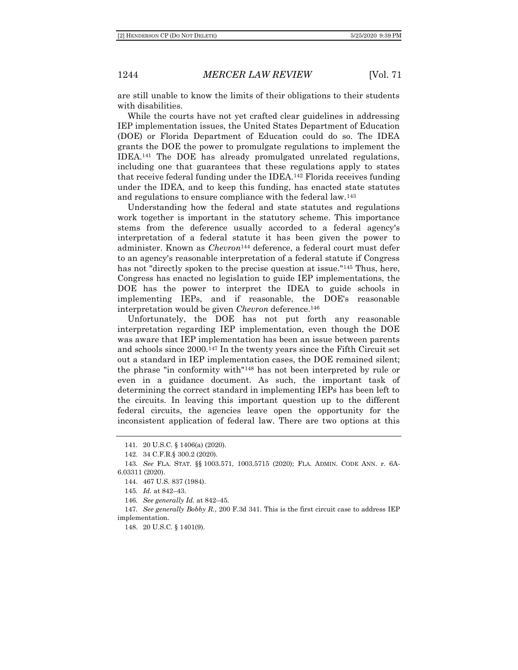are still unable to know the limits of their obligations to their students with disabilities.

While the courts have not yet crafted clear guidelines in addressing IEP implementation issues, the United States Department of Education (DOE) or Florida Department of Education could do so. The IDEA grants the DOE the power to promulgate regulations to implement the IDEA.<sup>141</sup> The DOE has already promulgated unrelated regulations, including one that guarantees that these regulations apply to states that receive federal funding under the IDEA.<sup>142</sup> Florida receives funding under the IDEA, and to keep this funding, has enacted state statutes and regulations to ensure compliance with the federal law.<sup>143</sup>

Understanding how the federal and state statutes and regulations work together is important in the statutory scheme. This importance stems from the deference usually accorded to a federal agency's interpretation of a federal statute it has been given the power to administer. Known as *Chevron*<sup>144</sup> deference, a federal court must defer to an agency's reasonable interpretation of a federal statute if Congress has not "directly spoken to the precise question at issue."<sup>145</sup> Thus, here, Congress has enacted no legislation to guide IEP implementations, the DOE has the power to interpret the IDEA to guide schools in implementing IEPs, and if reasonable, the DOE's reasonable interpretation would be given *Chevron* deference.<sup>146</sup>

Unfortunately, the DOE has not put forth any reasonable interpretation regarding IEP implementation, even though the DOE was aware that IEP implementation has been an issue between parents and schools since 2000.<sup>147</sup> In the twenty years since the Fifth Circuit set out a standard in IEP implementation cases, the DOE remained silent; the phrase "in conformity with"<sup>148</sup> has not been interpreted by rule or even in a guidance document. As such, the important task of determining the correct standard in implementing IEPs has been left to the circuits. In leaving this important question up to the different federal circuits, the agencies leave open the opportunity for the inconsistent application of federal law. There are two options at this

147*. See generally Bobby R.*, 200 F.3d 341. This is the first circuit case to address IEP implementation.

148. 20 U.S.C. § 1401(9).

<sup>141.</sup> 20 U.S.C. § 1406(a) (2020).

<sup>142.</sup> 34 C.F.R.§ 300.2 (2020).

<sup>143</sup>*. See* FLA. STAT. §§ 1003.571, 1003.5715 (2020); FLA. ADMIN. CODE ANN. r. 6A-6.03311 (2020).

<sup>144.</sup> 467 U.S. 837 (1984).

<sup>145</sup>*. Id.* at 842–43.

<sup>146</sup>*. See generally Id.* at 842–45.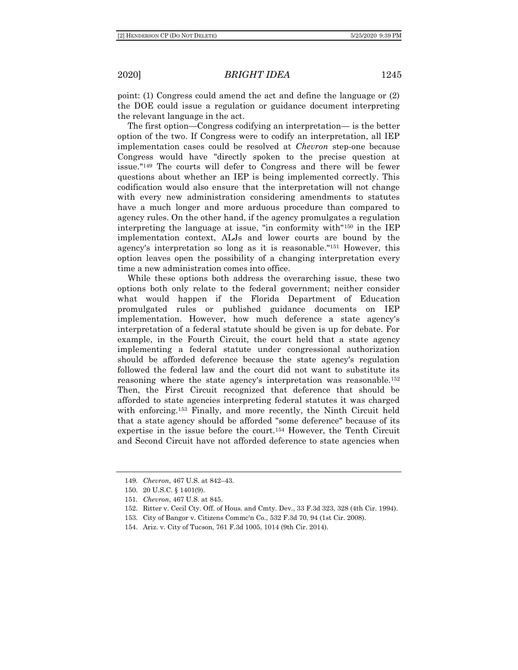point: (1) Congress could amend the act and define the language or (2) the DOE could issue a regulation or guidance document interpreting the relevant language in the act.

The first option—Congress codifying an interpretation— is the better option of the two. If Congress were to codify an interpretation, all IEP implementation cases could be resolved at *Chevron* step-one because Congress would have "directly spoken to the precise question at issue."<sup>149</sup> The courts will defer to Congress and there will be fewer questions about whether an IEP is being implemented correctly. This codification would also ensure that the interpretation will not change with every new administration considering amendments to statutes have a much longer and more arduous procedure than compared to agency rules. On the other hand, if the agency promulgates a regulation interpreting the language at issue, "in conformity with"<sup>150</sup> in the IEP implementation context, ALJs and lower courts are bound by the agency's interpretation so long as it is reasonable."<sup>151</sup> However, this option leaves open the possibility of a changing interpretation every time a new administration comes into office.

While these options both address the overarching issue, these two options both only relate to the federal government; neither consider what would happen if the Florida Department of Education promulgated rules or published guidance documents on IEP implementation. However, how much deference a state agency's interpretation of a federal statute should be given is up for debate. For example, in the Fourth Circuit, the court held that a state agency implementing a federal statute under congressional authorization should be afforded deference because the state agency's regulation followed the federal law and the court did not want to substitute its reasoning where the state agency's interpretation was reasonable.<sup>152</sup> Then, the First Circuit recognized that deference that should be afforded to state agencies interpreting federal statutes it was charged with enforcing.<sup>153</sup> Finally, and more recently, the Ninth Circuit held that a state agency should be afforded "some deference" because of its expertise in the issue before the court.<sup>154</sup> However, the Tenth Circuit and Second Circuit have not afforded deference to state agencies when

<sup>149</sup>*. Chevron*, 467 U.S. at 842–43.

<sup>150.</sup> 20 U.S.C. § 1401(9).

<sup>151</sup>*. Chevron*, 467 U.S. at 845.

<sup>152.</sup> Ritter v. Cecil Cty. Off. of Hous. and Cmty. Dev., 33 F.3d 323, 328 (4th Cir. 1994).

<sup>153.</sup> City of Bangor v. Citizens Commc'n Co., 532 F.3d 70, 94 (1st Cir. 2008).

<sup>154.</sup> Ariz. v. City of Tucson, 761 F.3d 1005, 1014 (9th Cir. 2014).